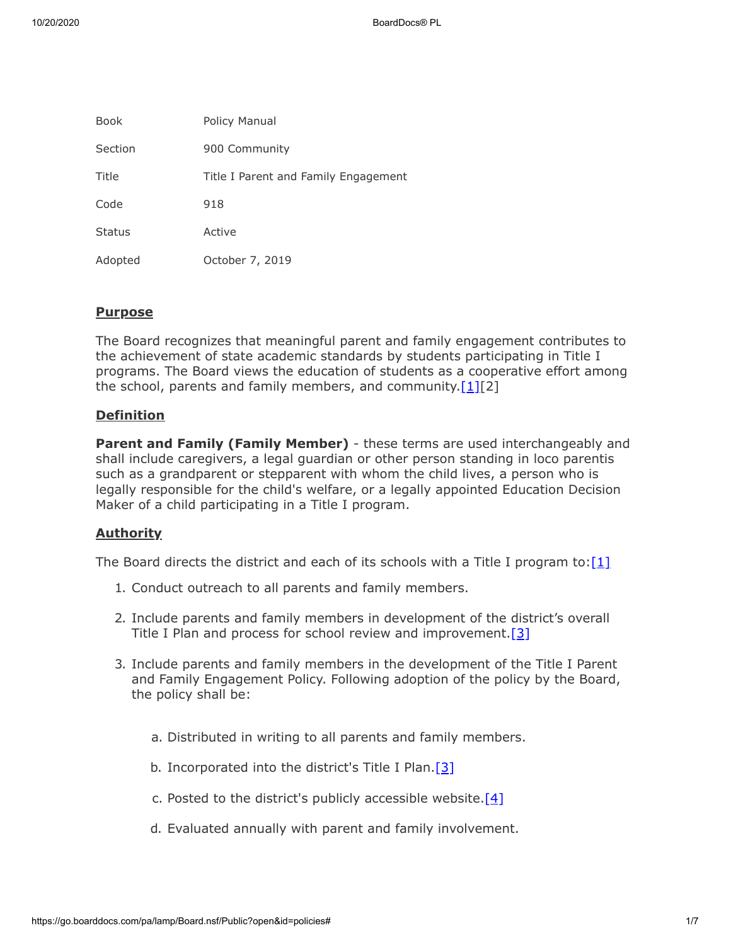| Book          | Policy Manual                        |
|---------------|--------------------------------------|
| Section       | 900 Community                        |
| Title         | Title I Parent and Family Engagement |
| Code          | 918                                  |
| <b>Status</b> | Active                               |
| Adopted       | October 7, 2019                      |

# **Purpose**

The Board recognizes that meaningful parent and family engagement contributes to the achievement of state academic standards by students participating in Title I programs. The Board views the education of students as a cooperative effort among the school, parents and family members, and community. $[1][2]$  $[1][2]$ 

# **Definition**

**Parent and Family (Family Member)** - these terms are used interchangeably and shall include caregivers, a legal guardian or other person standing in loco parentis such as a grandparent or stepparent with whom the child lives, a person who is legally responsible for the child's welfare, or a legally appointed Education Decision Maker of a child participating in a Title I program.

# **Authority**

The Board directs the district and each of its schools with a Title I program to: $[1]$ 

- 1. Conduct outreach to all parents and family members.
- 2. Include parents and family members in development of the district's overall Title I Plan and process for school review and improvement. [\[3\]](http://www.law.cornell.edu/uscode/text/20/6312)
- 3. Include parents and family members in the development of the Title I Parent and Family Engagement Policy. Following adoption of the policy by the Board, the policy shall be:
	- a. Distributed in writing to all parents and family members.
	- b. Incorporated into the district's Title I Plan. $[3]$
	- c. Posted to the district's publicly accessible website.<sup>[\[4\]](http://www.legis.state.pa.us/cfdocs/legis/LI/uconsCheck.cfm?txtType=HTM&yr=1949&sessInd=0&smthLwInd=0&act=14&chpt=5&sctn=10&subsctn=2)</sup>
	- d. Evaluated annually with parent and family involvement.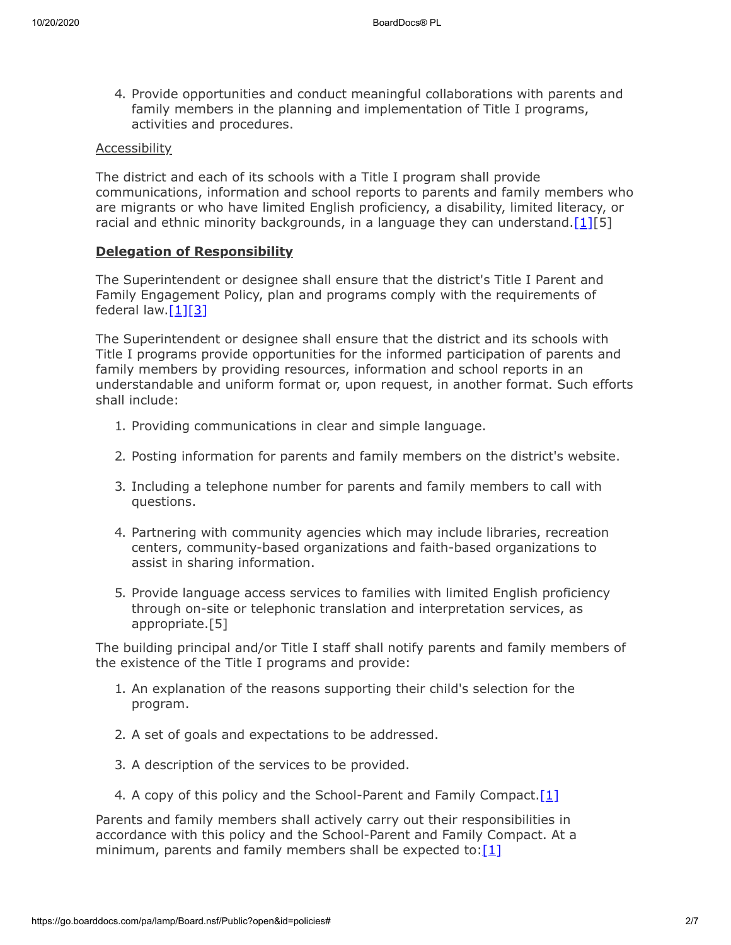4. Provide opportunities and conduct meaningful collaborations with parents and family members in the planning and implementation of Title I programs, activities and procedures.

#### Accessibility

The district and each of its schools with a Title I program shall provide communications, information and school reports to parents and family members who are migrants or who have limited English proficiency, a disability, limited literacy, or racial and ethnic minority backgrounds, in a language they can understand. [\[1\]\[](http://www.law.cornell.edu/uscode/text/20/6318)5]

## **Delegation of Responsibility**

The Superintendent or designee shall ensure that the district's Title I Parent and Family Engagement Policy, plan and programs comply with the requirements of federal law[.\[1\]](http://www.law.cornell.edu/uscode/text/20/6318)[\[3\]](http://www.law.cornell.edu/uscode/text/20/6312)

The Superintendent or designee shall ensure that the district and its schools with Title I programs provide opportunities for the informed participation of parents and family members by providing resources, information and school reports in an understandable and uniform format or, upon request, in another format. Such efforts shall include:

- 1. Providing communications in clear and simple language.
- 2. Posting information for parents and family members on the district's website.
- 3. Including a telephone number for parents and family members to call with questions.
- 4. Partnering with community agencies which may include libraries, recreation centers, community-based organizations and faith-based organizations to assist in sharing information.
- 5. Provide language access services to families with limited English proficiency through on-site or telephonic translation and interpretation services, as appropriate.[5]

The building principal and/or Title I staff shall notify parents and family members of the existence of the Title I programs and provide:

- 1. An explanation of the reasons supporting their child's selection for the program.
- 2. A set of goals and expectations to be addressed.
- 3. A description of the services to be provided.
- 4. A copy of this policy and the School-Parent and Family Compact.<sup>[1]</sup>

Parents and family members shall actively carry out their responsibilities in accordance with this policy and the School-Parent and Family Compact. At a minimum, parents and family members shall be expected to: [\[1\]](http://www.law.cornell.edu/uscode/text/20/6318)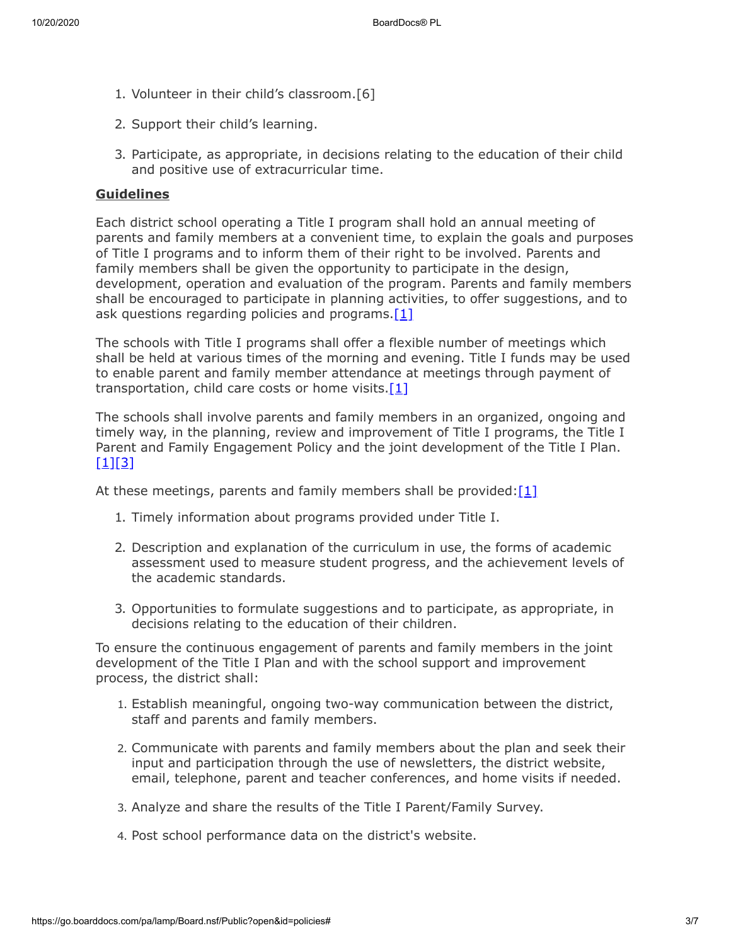- 1. Volunteer in their child's classroom.[6]
- 2. Support their child's learning.
- 3. Participate, as appropriate, in decisions relating to the education of their child and positive use of extracurricular time.

# **Guidelines**

Each district school operating a Title I program shall hold an annual meeting of parents and family members at a convenient time, to explain the goals and purposes of Title I programs and to inform them of their right to be involved. Parents and family members shall be given the opportunity to participate in the design, development, operation and evaluation of the program. Parents and family members shall be encouraged to participate in planning activities, to offer suggestions, and to ask questions regarding policies and programs[.\[1\]](http://www.law.cornell.edu/uscode/text/20/6318)

The schools with Title I programs shall offer a flexible number of meetings which shall be held at various times of the morning and evening. Title I funds may be used to enable parent and family member attendance at meetings through payment of transportation, child care costs or home visits.[\[1\]](http://www.law.cornell.edu/uscode/text/20/6318)

The schools shall involve parents and family members in an organized, ongoing and timely way, in the planning, review and improvement of Title I programs, the Title I Parent and Family Engagement Policy and the joint development of the Title I Plan.  $[1]$ [\[3\]](http://www.law.cornell.edu/uscode/text/20/6312)

At these meetings, parents and family members shall be provided: $[1]$ 

- 1. Timely information about programs provided under Title I.
- 2. Description and explanation of the curriculum in use, the forms of academic assessment used to measure student progress, and the achievement levels of the academic standards.
- 3. Opportunities to formulate suggestions and to participate, as appropriate, in decisions relating to the education of their children.

To ensure the continuous engagement of parents and family members in the joint development of the Title I Plan and with the school support and improvement process, the district shall:

- 1. Establish meaningful, ongoing two-way communication between the district, staff and parents and family members.
- 2. Communicate with parents and family members about the plan and seek their input and participation through the use of newsletters, the district website, email, telephone, parent and teacher conferences, and home visits if needed.
- 3. Analyze and share the results of the Title I Parent/Family Survey.
- 4. Post school performance data on the district's website.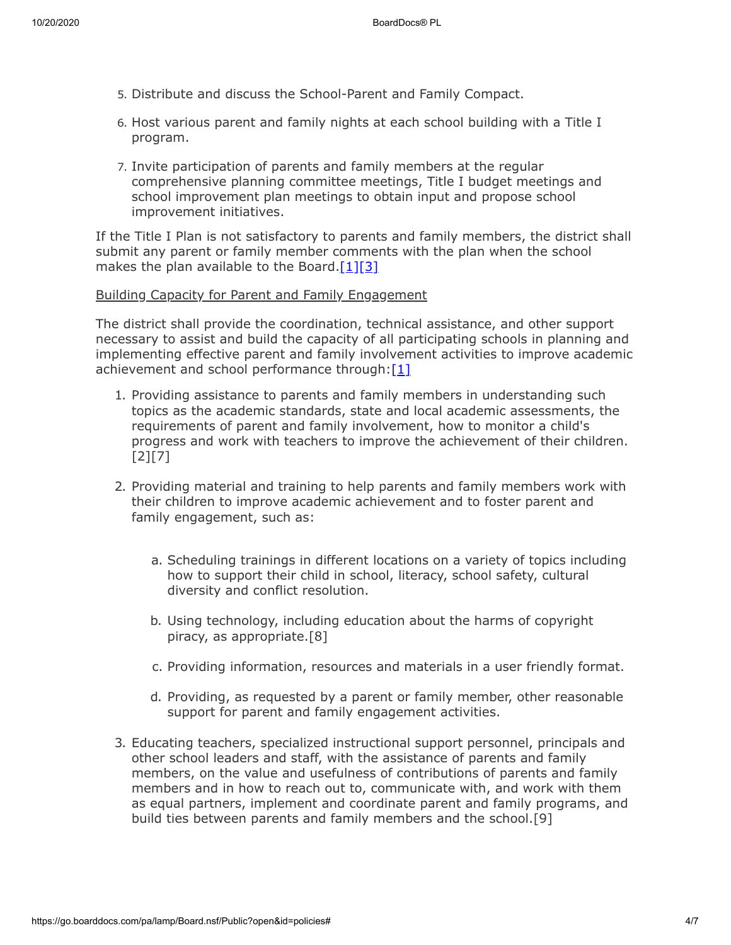- 5. Distribute and discuss the School-Parent and Family Compact.
- 6. Host various parent and family nights at each school building with a Title I program.
- 7. Invite participation of parents and family members at the regular comprehensive planning committee meetings, Title I budget meetings and school improvement plan meetings to obtain input and propose school improvement initiatives.

If the Title I Plan is not satisfactory to parents and family members, the district shall submit any parent or family member comments with the plan when the school makes the plan available to the Board.[\[1\]](http://www.law.cornell.edu/uscode/text/20/6318)[\[3\]](http://www.law.cornell.edu/uscode/text/20/6312)

### Building Capacity for Parent and Family Engagement

The district shall provide the coordination, technical assistance, and other support necessary to assist and build the capacity of all participating schools in planning and implementing effective parent and family involvement activities to improve academic achievement and school performance through:[\[1\]](http://www.law.cornell.edu/uscode/text/20/6318)

- 1. Providing assistance to parents and family members in understanding such topics as the academic standards, state and local academic assessments, the requirements of parent and family involvement, how to monitor a child's progress and work with teachers to improve the achievement of their children. [2][7]
- 2. Providing material and training to help parents and family members work with their children to improve academic achievement and to foster parent and family engagement, such as:
	- a. Scheduling trainings in different locations on a variety of topics including how to support their child in school, literacy, school safety, cultural diversity and conflict resolution.
	- b. Using technology, including education about the harms of copyright piracy, as appropriate.[8]
	- c. Providing information, resources and materials in a user friendly format.
	- d. Providing, as requested by a parent or family member, other reasonable support for parent and family engagement activities.
- 3. Educating teachers, specialized instructional support personnel, principals and other school leaders and staff, with the assistance of parents and family members, on the value and usefulness of contributions of parents and family members and in how to reach out to, communicate with, and work with them as equal partners, implement and coordinate parent and family programs, and build ties between parents and family members and the school.[9]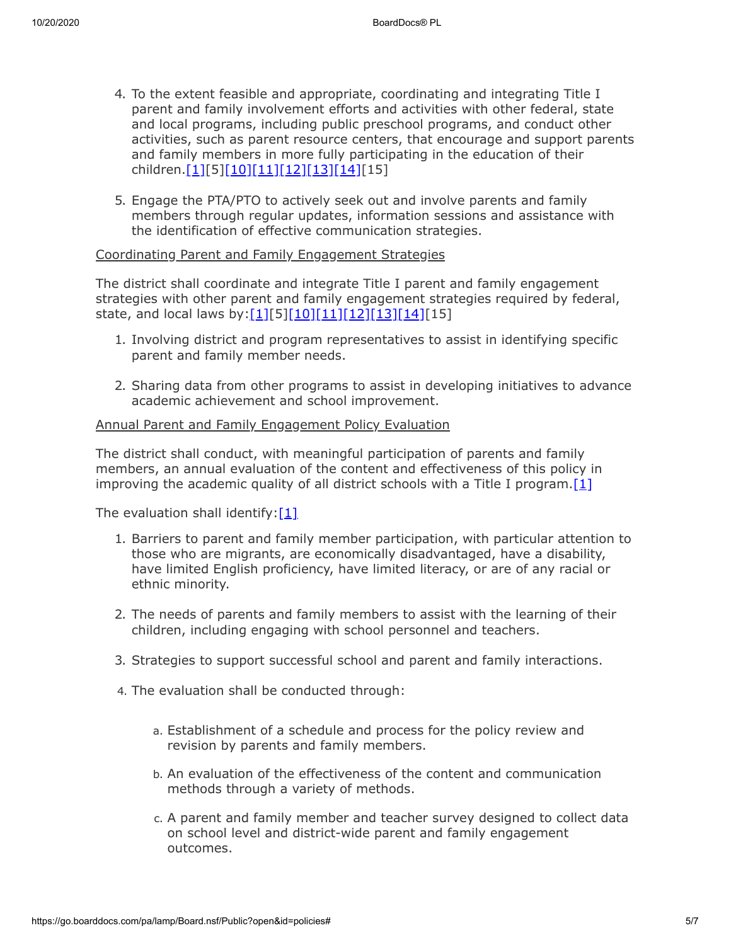- 4. To the extent feasible and appropriate, coordinating and integrating Title I parent and family involvement efforts and activities with other federal, state and local programs, including public preschool programs, and conduct other activities, such as parent resource centers, that encourage and support parents and family members in more fully participating in the education of their children.[\[1\]](http://www.law.cornell.edu/uscode/text/20/6318)[5[\]\[10\]](https://www.law.cornell.edu/uscode/text/20/7845)[\[11\]](https://www.law.cornell.edu/uscode/text/29/chapter-32/subchapter-II)[\[12\]](https://www.law.cornell.edu/uscode/text/29/chapter-16/level-ckFan0uyRsZWNPLN7yhoqQ%3D%3D)[\[13\]](https://www.law.cornell.edu/uscode/text/42/chapter-119)[\[14\]\[](https://www.law.cornell.edu/uscode/text/42/chapter-105/subchapter-II)15]
- 5. Engage the PTA/PTO to actively seek out and involve parents and family members through regular updates, information sessions and assistance with the identification of effective communication strategies.

## Coordinating Parent and Family Engagement Strategies

The district shall coordinate and integrate Title I parent and family engagement strategies with other parent and family engagement strategies required by federal, state, and local laws by: $[1][5][10][11][12][13][14][15]$  $[1][5][10][11][12][13][14][15]$  $[1][5][10][11][12][13][14][15]$  $[1][5][10][11][12][13][14][15]$  $[1][5][10][11][12][13][14][15]$  $[1][5][10][11][12][13][14][15]$  $[1][5][10][11][12][13][14][15]$ 

- 1. Involving district and program representatives to assist in identifying specific parent and family member needs.
- 2. Sharing data from other programs to assist in developing initiatives to advance academic achievement and school improvement.

## Annual Parent and Family Engagement Policy Evaluation

The district shall conduct, with meaningful participation of parents and family members, an annual evaluation of the content and effectiveness of this policy in improving the academic quality of all district schools with a Title I program[.\[1\]](http://www.law.cornell.edu/uscode/text/20/6318)

The evaluation shall identify: $[1]$ 

- 1. Barriers to parent and family member participation, with particular attention to those who are migrants, are economically disadvantaged, have a disability, have limited English proficiency, have limited literacy, or are of any racial or ethnic minority.
- 2. The needs of parents and family members to assist with the learning of their children, including engaging with school personnel and teachers.
- 3. Strategies to support successful school and parent and family interactions.
- 4. The evaluation shall be conducted through:
	- a. Establishment of a schedule and process for the policy review and revision by parents and family members.
	- b. An evaluation of the effectiveness of the content and communication methods through a variety of methods.
	- c. A parent and family member and teacher survey designed to collect data on school level and district-wide parent and family engagement outcomes.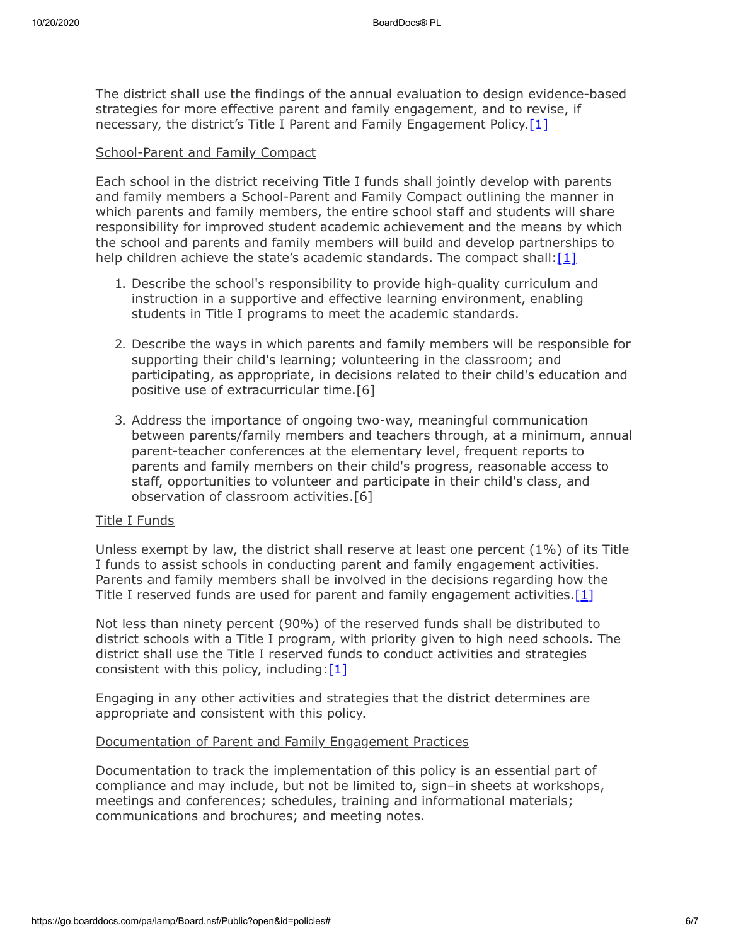The district shall use the findings of the annual evaluation to design evidence-based strategies for more effective parent and family engagement, and to revise, if necessary, the district's Title I Parent and Family Engagement Policy.<sup>[1]</sup>

## School-Parent and Family Compact

Each school in the district receiving Title I funds shall jointly develop with parents and family members a School-Parent and Family Compact outlining the manner in which parents and family members, the entire school staff and students will share responsibility for improved student academic achievement and the means by which the school and parents and family members will build and develop partnerships to help children achieve the state's academic standards. The compact shall[:\[1\]](http://www.law.cornell.edu/uscode/text/20/6318)

- 1. Describe the school's responsibility to provide high-quality curriculum and instruction in a supportive and effective learning environment, enabling students in Title I programs to meet the academic standards.
- 2. Describe the ways in which parents and family members will be responsible for supporting their child's learning; volunteering in the classroom; and participating, as appropriate, in decisions related to their child's education and positive use of extracurricular time.[6]
- 3. Address the importance of ongoing two-way, meaningful communication between parents/family members and teachers through, at a minimum, annual parent-teacher conferences at the elementary level, frequent reports to parents and family members on their child's progress, reasonable access to staff, opportunities to volunteer and participate in their child's class, and observation of classroom activities.[6]

## Title I Funds

Unless exempt by law, the district shall reserve at least one percent (1%) of its Title I funds to assist schools in conducting parent and family engagement activities. Parents and family members shall be involved in the decisions regarding how the Title I reserved funds are used for parent and family engagement activities. $[1]$ 

Not less than ninety percent (90%) of the reserved funds shall be distributed to district schools with a Title I program, with priority given to high need schools. The district shall use the Title I reserved funds to conduct activities and strategies consistent with this policy, including: $[1]$ 

Engaging in any other activities and strategies that the district determines are appropriate and consistent with this policy.

# Documentation of Parent and Family Engagement Practices

Documentation to track the implementation of this policy is an essential part of compliance and may include, but not be limited to, sign–in sheets at workshops, meetings and conferences; schedules, training and informational materials; communications and brochures; and meeting notes.